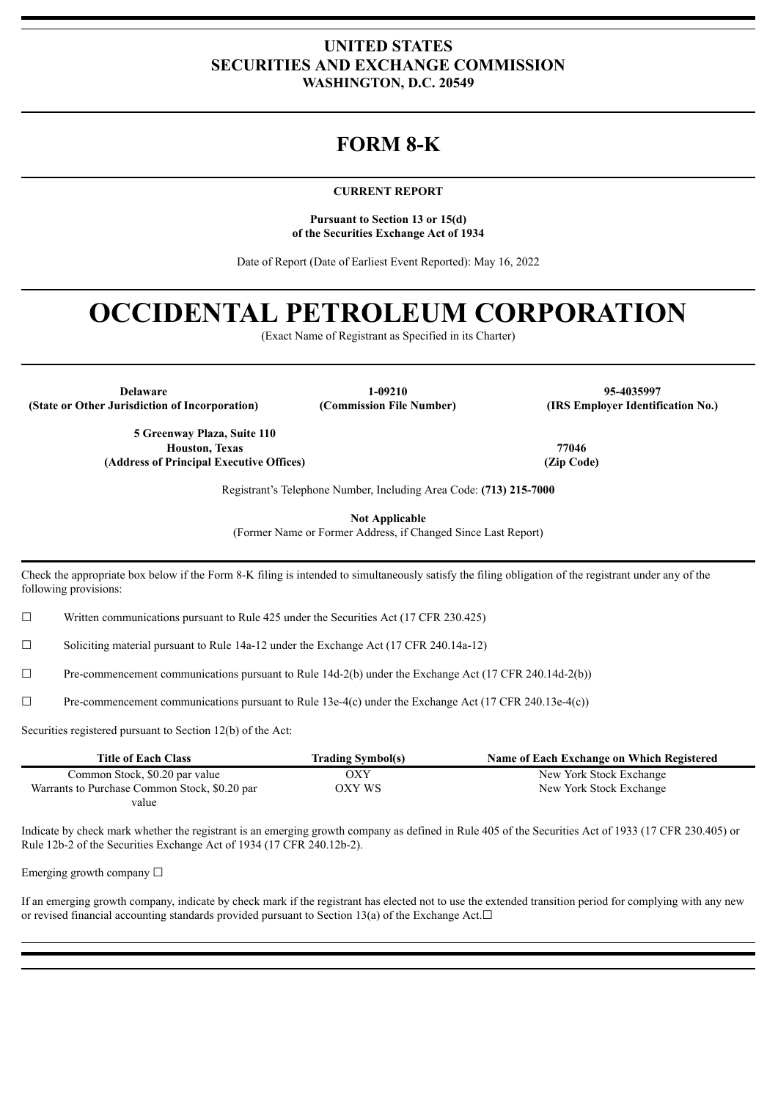# **UNITED STATES SECURITIES AND EXCHANGE COMMISSION WASHINGTON, D.C. 20549**

# **FORM 8-K**

#### **CURRENT REPORT**

**Pursuant to Section 13 or 15(d) of the Securities Exchange Act of 1934**

Date of Report (Date of Earliest Event Reported): May 16, 2022

# **OCCIDENTAL PETROLEUM CORPORATION**

(Exact Name of Registrant as Specified in its Charter)

**(State or Other Jurisdiction of Incorporation) (Commission File Number) (IRS Employer Identification No.)**

**Delaware 1-09210 95-4035997**

**5 Greenway Plaza, Suite 110 Houston, Texas (Address of Principal Executive Offices)**

**77046 (Zip Code)**

Registrant's Telephone Number, Including Area Code: **(713) 215-7000**

**Not Applicable**

(Former Name or Former Address, if Changed Since Last Report)

Check the appropriate box below if the Form 8-K filing is intended to simultaneously satisfy the filing obligation of the registrant under any of the following provisions:

 $\Box$  Written communications pursuant to Rule 425 under the Securities Act (17 CFR 230.425)

☐ Soliciting material pursuant to Rule 14a-12 under the Exchange Act (17 CFR 240.14a-12)

 $\Box$  Pre-commencement communications pursuant to Rule 14d-2(b) under the Exchange Act (17 CFR 240.14d-2(b))

 $\Box$  Pre-commencement communications pursuant to Rule 13e-4(c) under the Exchange Act (17 CFR 240.13e-4(c))

Securities registered pursuant to Section 12(b) of the Act:

| <b>Title of Each Class</b>                    | <b>Trading Symbol(s)</b> | Name of Each Exchange on Which Registered |
|-----------------------------------------------|--------------------------|-------------------------------------------|
| Common Stock, \$0.20 par value                | OXY                      | New York Stock Exchange                   |
| Warrants to Purchase Common Stock, \$0.20 par | OXY WS                   | New York Stock Exchange                   |
| value                                         |                          |                                           |

Indicate by check mark whether the registrant is an emerging growth company as defined in Rule 405 of the Securities Act of 1933 (17 CFR 230.405) or Rule 12b-2 of the Securities Exchange Act of 1934 (17 CFR 240.12b-2).

Emerging growth company  $\Box$ 

If an emerging growth company, indicate by check mark if the registrant has elected not to use the extended transition period for complying with any new or revised financial accounting standards provided pursuant to Section 13(a) of the Exchange Act. $□$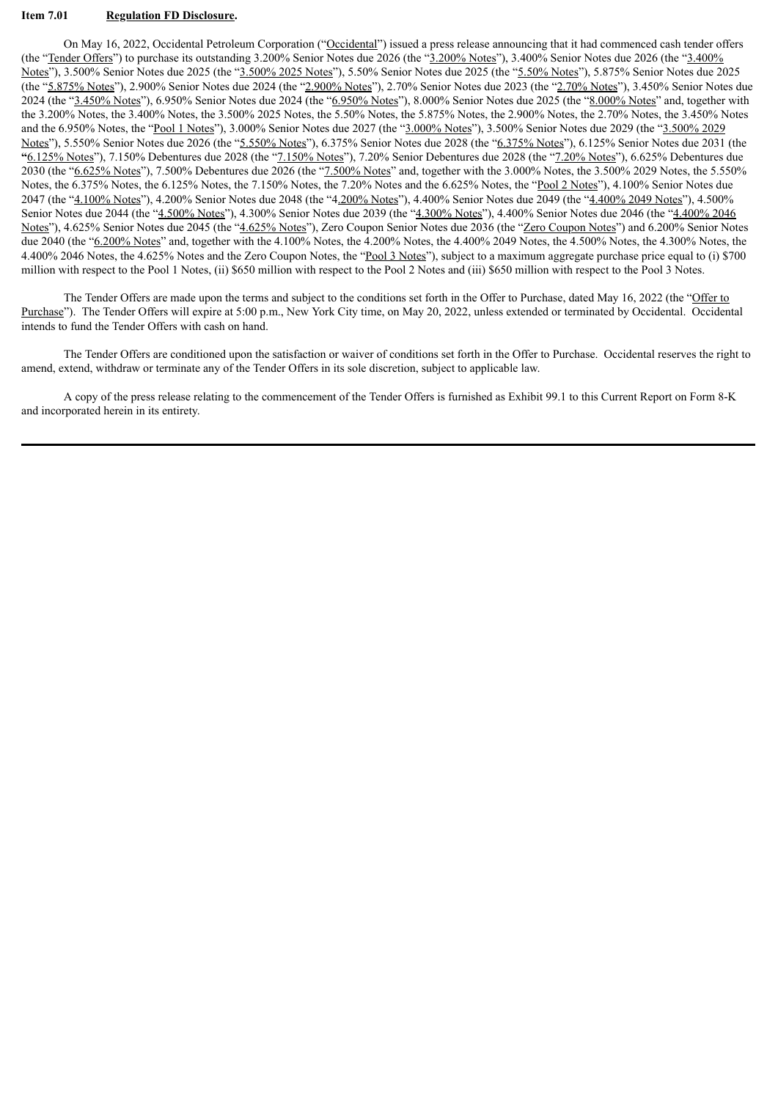## **Item 7.01 Regulation FD Disclosure.**

On May 16, 2022, Occidental Petroleum Corporation ("Occidental") issued a press release announcing that it had commenced cash tender offers (the "Tender Offers") to purchase its outstanding 3.200% Senior Notes due 2026 (the "3.200% Notes"), 3.400% Senior Notes due 2026 (the "3.400% Notes"), 3.500% Senior Notes due 2025 (the "3.500% 2025 Notes"), 5.50% Senior Notes due 2025 (the "5.50% Notes"), 5.875% Senior Notes due 2025 (the "5.875% Notes"), 2.900% Senior Notes due 2024 (the "2.900% Notes"), 2.70% Senior Notes due 2023 (the "2.70% Notes"), 3.450% Senior Notes due 2024 (the "3.450% Notes"), 6.950% Senior Notes due 2024 (the "6.950% Notes"), 8.000% Senior Notes due 2025 (the "8.000% Notes" and, together with the 3.200% Notes, the 3.400% Notes, the 3.500% 2025 Notes, the 5.50% Notes, the 5.875% Notes, the 2.900% Notes, the 2.70% Notes, the 3.450% Notes and the 6.950% Notes, the "Pool 1 Notes"), 3.000% Senior Notes due 2027 (the "3.000% Notes"), 3.500% Senior Notes due 2029 (the "3.500% 2029 Notes"), 5.550% Senior Notes due 2026 (the "5.550% Notes"), 6.375% Senior Notes due 2028 (the "6.375% Notes"), 6.125% Senior Notes due 2031 (the **"**6.125% Notes"), 7.150% Debentures due 2028 (the "7.150% Notes"), 7.20% Senior Debentures due 2028 (the "7.20% Notes"), 6.625% Debentures due 2030 (the "6.625% Notes"), 7.500% Debentures due 2026 (the "7.500% Notes" and, together with the 3.000% Notes, the 3.500% 2029 Notes, the 5.550% Notes, the 6.375% Notes, the 6.125% Notes, the 7.150% Notes, the 7.20% Notes and the 6.625% Notes, the "Pool 2 Notes"), 4.100% Senior Notes due 2047 (the "4.100% Notes"), 4.200% Senior Notes due 2048 (the "4.200% Notes"), 4.400% Senior Notes due 2049 (the "4.400% 2049 Notes"), 4.500% Senior Notes due 2044 (the "4.500% Notes"), 4.300% Senior Notes due 2039 (the "4.300% Notes"), 4.400% Senior Notes due 2046 (the "4.400% 2046 Notes"), 4.625% Senior Notes due 2045 (the "4.625% Notes"), Zero Coupon Senior Notes due 2036 (the "Zero Coupon Notes") and 6.200% Senior Notes due 2040 (the "6.200% Notes" and, together with the 4.100% Notes, the 4.200% Notes, the 4.400% 2049 Notes, the 4.500% Notes, the 4.300% Notes, the 4.300% Notes, the 4.400% 2046 Notes, the 4.625% Notes and the Zero Coupon Notes, the "Pool 3 Notes"), subject to a maximum aggregate purchase price equal to (i) \$700 million with respect to the Pool 1 Notes, (ii) \$650 million with respect to the Pool 2 Notes and (iii) \$650 million with respect to the Pool 3 Notes.

The Tender Offers are made upon the terms and subject to the conditions set forth in the Offer to Purchase, dated May 16, 2022 (the "Offer to Purchase"). The Tender Offers will expire at 5:00 p.m., New York City time, on May 20, 2022, unless extended or terminated by Occidental. Occidental intends to fund the Tender Offers with cash on hand.

The Tender Offers are conditioned upon the satisfaction or waiver of conditions set forth in the Offer to Purchase. Occidental reserves the right to amend, extend, withdraw or terminate any of the Tender Offers in its sole discretion, subject to applicable law.

A copy of the press release relating to the commencement of the Tender Offers is furnished as Exhibit 99.1 to this Current Report on Form 8-K and incorporated herein in its entirety.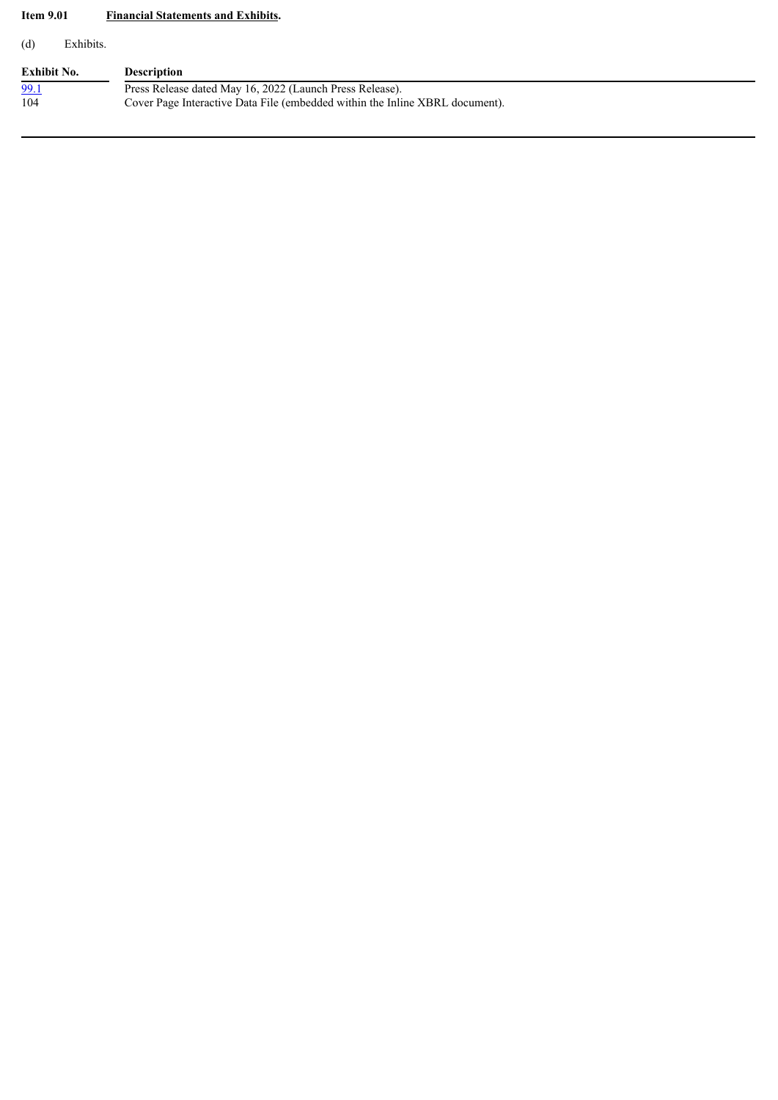# **Item 9.01 Financial Statements and Exhibits.**

(d) Exhibits.

| <b>Exhibit No.</b> | <b>Description</b>                                                           |
|--------------------|------------------------------------------------------------------------------|
| 99.1               | Press Release dated May 16, 2022 (Launch Press Release).                     |
| 104                | Cover Page Interactive Data File (embedded within the Inline XBRL document). |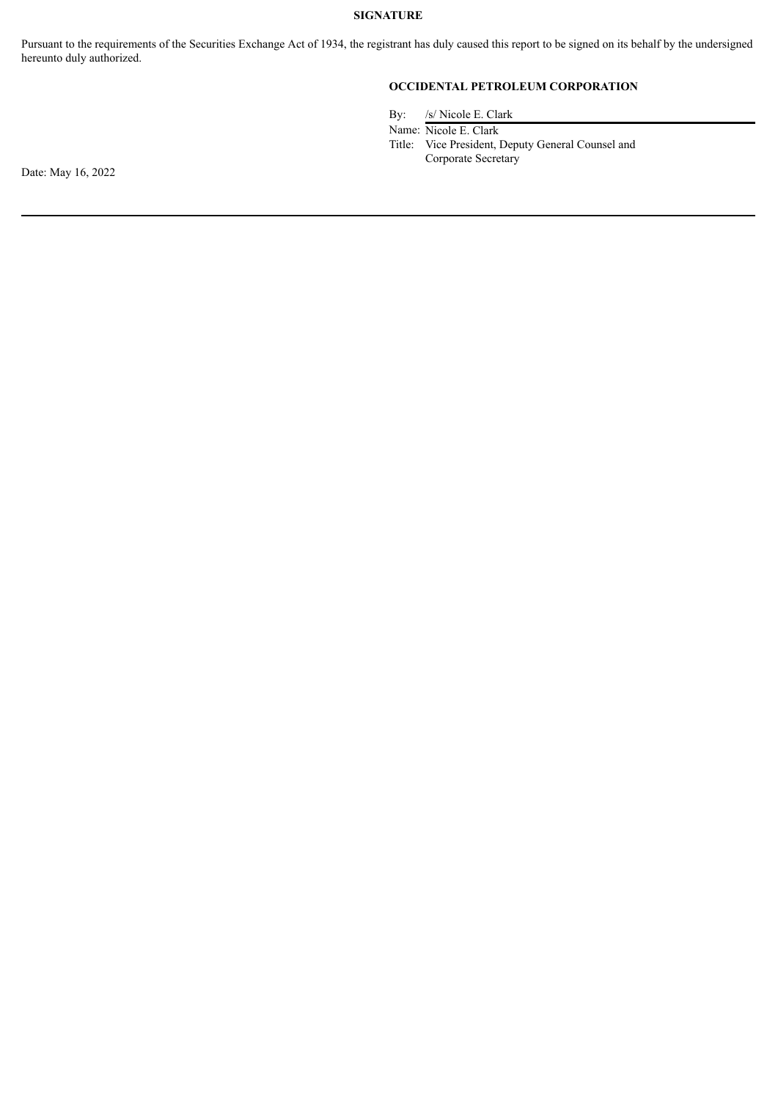# **SIGNATURE**

Pursuant to the requirements of the Securities Exchange Act of 1934, the registrant has duly caused this report to be signed on its behalf by the undersigned hereunto duly authorized.

# **OCCIDENTAL PETROLEUM CORPORATION**

By: /s/ Nicole E. Clark

Name: Nicole E. Clark

Title: Vice President, Deputy General Counsel and Corporate Secretary

Date: May 16, 2022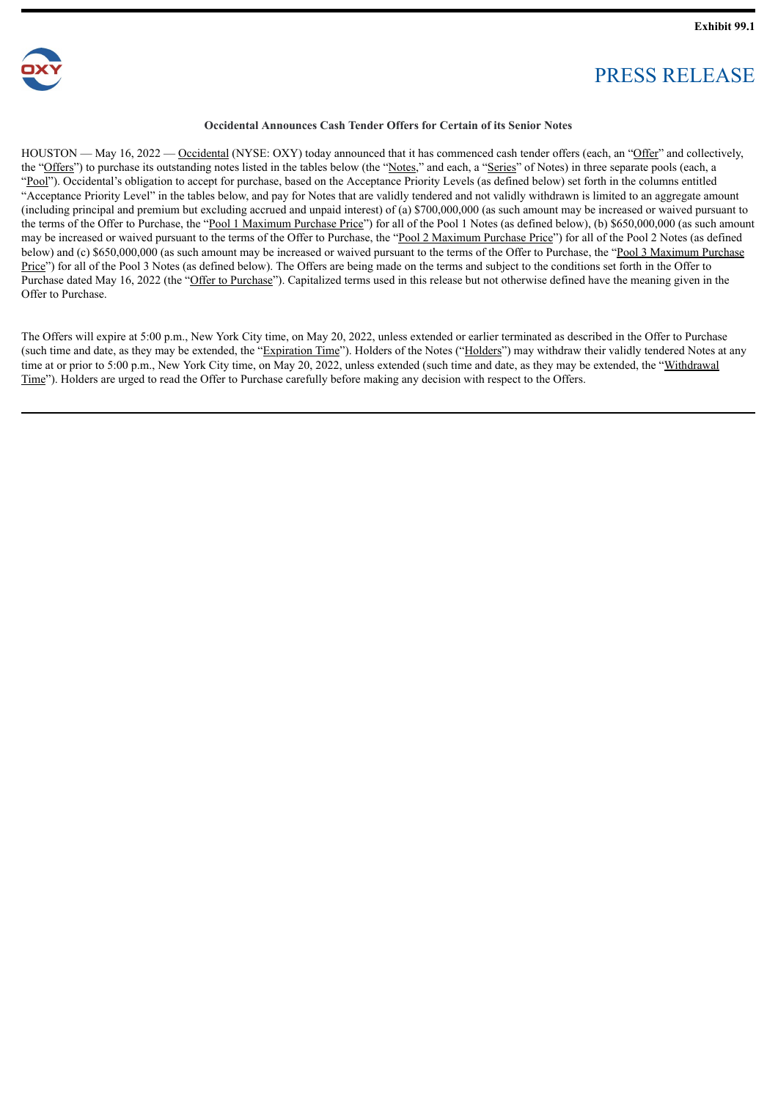<span id="page-4-0"></span>

# PRESS RELEASE

## **Occidental Announces Cash Tender Offers for Certain of its Senior Notes**

HOUSTON — May 16, 2022 — Occidental (NYSE: OXY) today announced that it has commenced cash tender offers (each, an "Offer" and collectively, the "Offers") to purchase its outstanding notes listed in the tables below (the "Notes," and each, a "Series" of Notes) in three separate pools (each, a "Pool"). Occidental's obligation to accept for purchase, based on the Acceptance Priority Levels (as defined below) set forth in the columns entitled "Acceptance Priority Level" in the tables below, and pay for Notes that are validly tendered and not validly withdrawn is limited to an aggregate amount (including principal and premium but excluding accrued and unpaid interest) of (a) \$700,000,000 (as such amount may be increased or waived pursuant to the terms of the Offer to Purchase, the "Pool 1 Maximum Purchase Price") for all of the Pool 1 Notes (as defined below), (b) \$650,000,000 (as such amount may be increased or waived pursuant to the terms of the Offer to Purchase, the "Pool 2 Maximum Purchase Price") for all of the Pool 2 Notes (as defined below) and (c) \$650,000,000 (as such amount may be increased or waived pursuant to the terms of the Offer to Purchase, the "Pool 3 Maximum Purchase Price") for all of the Pool 3 Notes (as defined below). The Offers are being made on the terms and subject to the conditions set forth in the Offer to Purchase dated May 16, 2022 (the "Offer to Purchase"). Capitalized terms used in this release but not otherwise defined have the meaning given in the Offer to Purchase.

The Offers will expire at 5:00 p.m., New York City time, on May 20, 2022, unless extended or earlier terminated as described in the Offer to Purchase (such time and date, as they may be extended, the "Expiration Time"). Holders of the Notes ("Holders") may withdraw their validly tendered Notes at any time at or prior to 5:00 p.m., New York City time, on May 20, 2022, unless extended (such time and date, as they may be extended, the "Withdrawal Time"). Holders are urged to read the Offer to Purchase carefully before making any decision with respect to the Offers.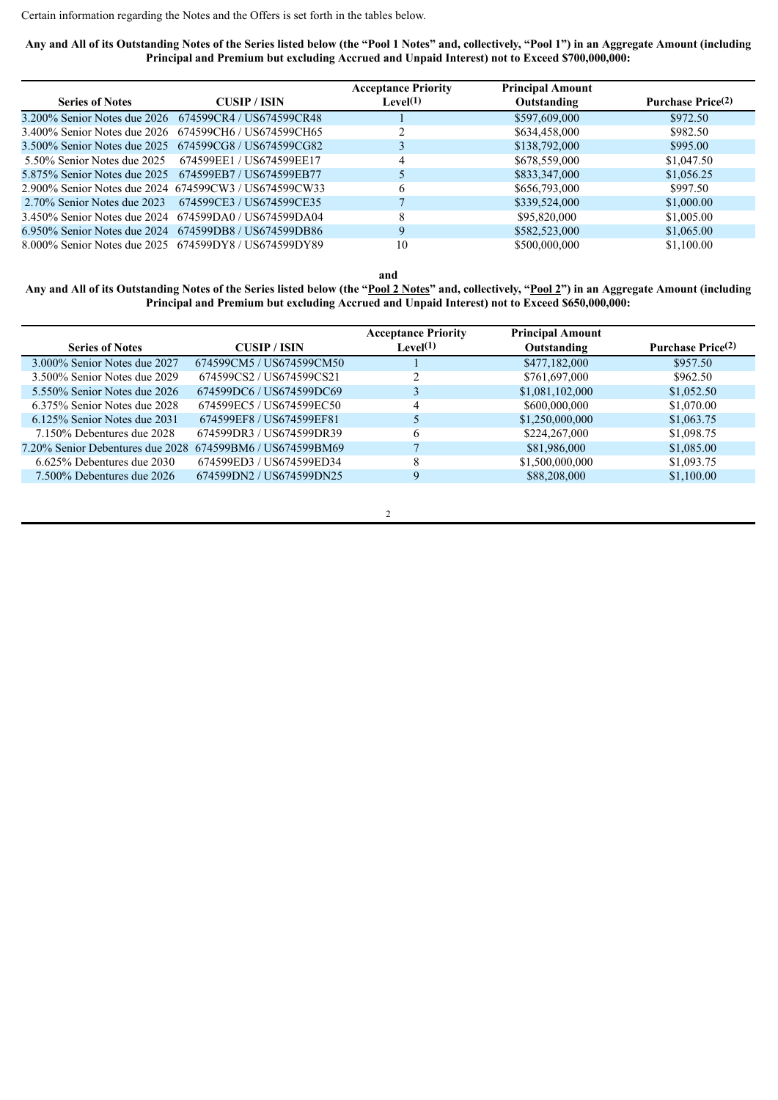Certain information regarding the Notes and the Offers is set forth in the tables below.

Any and All of its Outstanding Notes of the Series listed below (the "Pool 1 Notes" and, collectively, "Pool 1") in an Aggregate Amount (including **Principal and Premium but excluding Accrued and Unpaid Interest) not to Exceed \$700,000,000:**

|                                                       |                                                       | <b>Acceptance Priority</b> | <b>Principal Amount</b> |                               |
|-------------------------------------------------------|-------------------------------------------------------|----------------------------|-------------------------|-------------------------------|
| <b>Series of Notes</b>                                | <b>CUSIP/ISIN</b>                                     | Level $(1)$                | Outstanding             | Purchase Price <sup>(2)</sup> |
|                                                       | 3.200% Senior Notes due 2026 674599CR4 / US674599CR48 |                            | \$597,609,000           | \$972.50                      |
|                                                       | 3.400% Senior Notes due 2026 674599CH6 / US674599CH65 |                            | \$634,458,000           | \$982.50                      |
|                                                       | 3.500% Senior Notes due 2025 674599CG8 / US674599CG82 |                            | \$138,792,000           | \$995.00                      |
|                                                       | 5.50% Senior Notes due 2025 674599EE1/US674599EE17    | 4                          | \$678,559,000           | \$1,047.50                    |
| 5.875% Senior Notes due 2025 674599EB7 / US674599EB77 |                                                       |                            | \$833,347,000           | \$1,056.25                    |
|                                                       | 2.900% Senior Notes due 2024 674599CW3 / US674599CW33 | 6                          | \$656,793,000           | \$997.50                      |
| 2.70% Senior Notes due 2023                           | 674599CE3 / US674599CE35                              |                            | \$339,524,000           | \$1,000.00                    |
|                                                       | 3.450% Senior Notes due 2024 674599DA0 / US674599DA04 | 8                          | \$95,820,000            | \$1,005.00                    |
|                                                       | 6.950% Senior Notes due 2024 674599DB8 / US674599DB86 | 9                          | \$582,523,000           | \$1,065.00                    |
|                                                       | 8.000% Senior Notes due 2025 674599DY8 / US674599DY89 | 10                         | \$500,000,000           | \$1,100.00                    |

**and**

Any and All of its Outstanding Notes of the Series listed below (the "Pool 2 Notes" and, collectively, "Pool 2") in an Aggregate Amount (including **Principal and Premium but excluding Accrued and Unpaid Interest) not to Exceed \$650,000,000:**

| <b>Series of Notes</b>                                    | <b>CUSIP/ISIN</b>        | <b>Acceptance Priority</b><br>Level(1) | <b>Principal Amount</b><br>Outstanding | Purchase Price <sup>(2)</sup> |
|-----------------------------------------------------------|--------------------------|----------------------------------------|----------------------------------------|-------------------------------|
| 3.000% Senior Notes due 2027                              | 674599CM5 / US674599CM50 |                                        | \$477,182,000                          | \$957.50                      |
| 3.500% Senior Notes due 2029                              | 674599CS2 / US674599CS21 | ◠                                      | \$761,697,000                          | \$962.50                      |
| 5.550% Senior Notes due 2026                              | 674599DC6/US674599DC69   |                                        | \$1,081,102,000                        | \$1,052.50                    |
| 6.375% Senior Notes due 2028                              | 674599EC5 / US674599EC50 | 4                                      | \$600,000,000                          | \$1,070.00                    |
| $6.125\%$ Senior Notes due 2031                           | 674599EF8 / US674599EF81 |                                        | \$1,250,000,000                        | \$1,063.75                    |
| 7.150% Debentures due 2028                                | 674599DR3 / US674599DR39 | 6                                      | \$224,267,000                          | \$1,098.75                    |
| 7.20% Senior Debentures due 2028 674599BM6 / US674599BM69 |                          |                                        | \$81,986,000                           | \$1,085.00                    |
| $6.625\%$ Debentures due 2030                             | 674599ED3 / US674599ED34 | 8                                      | \$1,500,000,000                        | \$1,093.75                    |
| 7.500% Debentures due 2026                                | 674599DN2 / US674599DN25 | 9                                      | \$88,208,000                           | \$1,100.00                    |
|                                                           |                          |                                        |                                        |                               |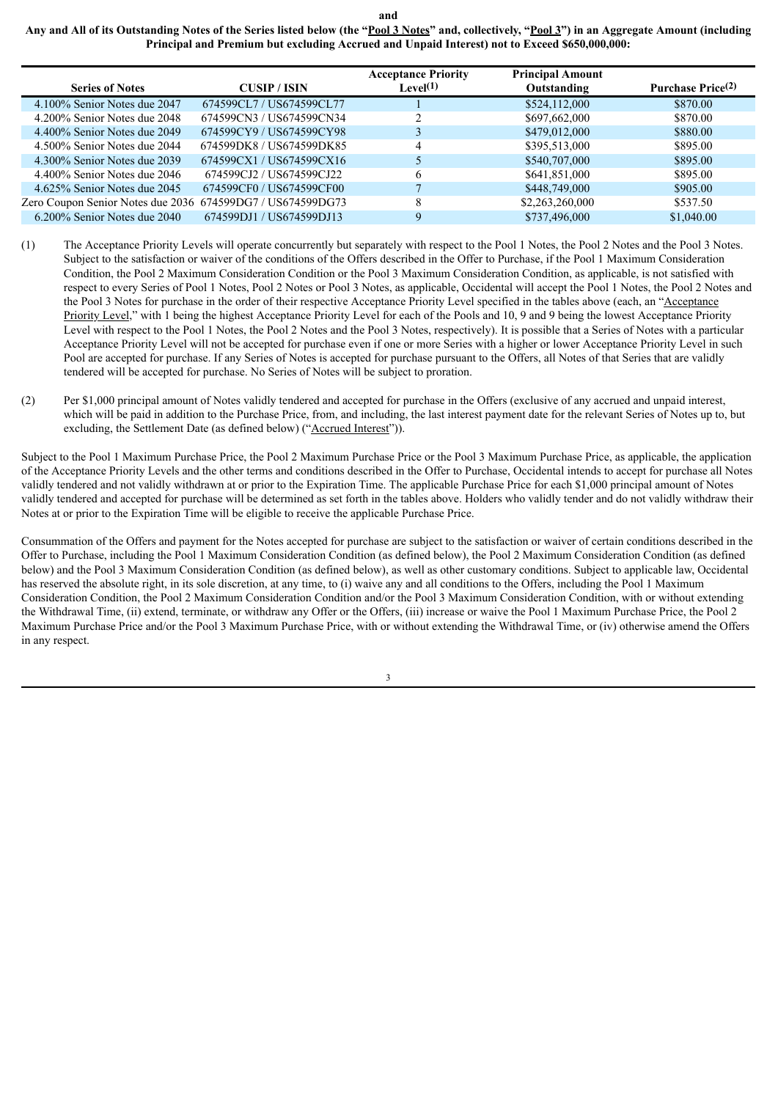**and**

Any and All of its Outstanding Notes of the Series listed below (the "Pool 3 Notes" and, collectively, "Pool 3") in an Aggregate Amount (including **Principal and Premium but excluding Accrued and Unpaid Interest) not to Exceed \$650,000,000:**

|                                                            |                          | <b>Acceptance Priority</b> | <b>Principal Amount</b> |                          |
|------------------------------------------------------------|--------------------------|----------------------------|-------------------------|--------------------------|
| <b>Series of Notes</b>                                     | <b>CUSIP/ISIN</b>        | Level(1)                   | Outstanding             | <b>Purchase Price(2)</b> |
| 4.100% Senior Notes due 2047                               | 674599CL7 / US674599CL77 |                            | \$524,112,000           | \$870.00                 |
| 4.200% Senior Notes due 2048                               | 674599CN3 / US674599CN34 |                            | \$697,662,000           | \$870.00                 |
| 4.400% Senior Notes due 2049                               | 674599CY9 / US674599CY98 |                            | \$479,012,000           | \$880.00                 |
| 4.500% Senior Notes due 2044                               | 674599DK8 / US674599DK85 | 4                          | \$395,513,000           | \$895.00                 |
| 4.300% Senior Notes due 2039                               | 674599CX1/US674599CX16   |                            | \$540,707,000           | \$895.00                 |
| 4.400% Senior Notes due 2046                               | 674599CJ2 / US674599CJ22 | 6                          | \$641,851,000           | \$895.00                 |
| 4.625% Senior Notes due 2045                               | 674599CF0 / US674599CF00 |                            | \$448,749,000           | \$905.00                 |
| Zero Coupon Senior Notes due 2036 674599DG7 / US674599DG73 |                          | 8                          | \$2,263,260,000         | \$537.50                 |
| 6.200% Senior Notes due 2040                               | 674599DJ1 / US674599DJ13 | 9                          | \$737,496,000           | \$1,040.00               |

- (1) The Acceptance Priority Levels will operate concurrently but separately with respect to the Pool 1 Notes, the Pool 2 Notes and the Pool 3 Notes. Subject to the satisfaction or waiver of the conditions of the Offers described in the Offer to Purchase, if the Pool 1 Maximum Consideration Condition, the Pool 2 Maximum Consideration Condition or the Pool 3 Maximum Consideration Condition, as applicable, is not satisfied with respect to every Series of Pool 1 Notes, Pool 2 Notes or Pool 3 Notes, as applicable, Occidental will accept the Pool 1 Notes, the Pool 2 Notes and the Pool 3 Notes for purchase in the order of their respective Acceptance Priority Level specified in the tables above (each, an "Acceptance Priority Level," with 1 being the highest Acceptance Priority Level for each of the Pools and 10, 9 and 9 being the lowest Acceptance Priority Level with respect to the Pool 1 Notes, the Pool 2 Notes and the Pool 3 Notes, respectively). It is possible that a Series of Notes with a particular Acceptance Priority Level will not be accepted for purchase even if one or more Series with a higher or lower Acceptance Priority Level in such Pool are accepted for purchase. If any Series of Notes is accepted for purchase pursuant to the Offers, all Notes of that Series that are validly tendered will be accepted for purchase. No Series of Notes will be subject to proration.
- (2) Per \$1,000 principal amount of Notes validly tendered and accepted for purchase in the Offers (exclusive of any accrued and unpaid interest, which will be paid in addition to the Purchase Price, from, and including, the last interest payment date for the relevant Series of Notes up to, but excluding, the Settlement Date (as defined below) ("Accrued Interest")).

Subject to the Pool 1 Maximum Purchase Price, the Pool 2 Maximum Purchase Price or the Pool 3 Maximum Purchase Price, as applicable, the application of the Acceptance Priority Levels and the other terms and conditions described in the Offer to Purchase, Occidental intends to accept for purchase all Notes validly tendered and not validly withdrawn at or prior to the Expiration Time. The applicable Purchase Price for each \$1,000 principal amount of Notes validly tendered and accepted for purchase will be determined as set forth in the tables above. Holders who validly tender and do not validly withdraw their Notes at or prior to the Expiration Time will be eligible to receive the applicable Purchase Price.

Consummation of the Offers and payment for the Notes accepted for purchase are subject to the satisfaction or waiver of certain conditions described in the Offer to Purchase, including the Pool 1 Maximum Consideration Condition (as defined below), the Pool 2 Maximum Consideration Condition (as defined below) and the Pool 3 Maximum Consideration Condition (as defined below), as well as other customary conditions. Subject to applicable law, Occidental has reserved the absolute right, in its sole discretion, at any time, to (i) waive any and all conditions to the Offers, including the Pool 1 Maximum Consideration Condition, the Pool 2 Maximum Consideration Condition and/or the Pool 3 Maximum Consideration Condition, with or without extending the Withdrawal Time, (ii) extend, terminate, or withdraw any Offer or the Offers, (iii) increase or waive the Pool 1 Maximum Purchase Price, the Pool 2 Maximum Purchase Price and/or the Pool 3 Maximum Purchase Price, with or without extending the Withdrawal Time, or (iv) otherwise amend the Offers in any respect.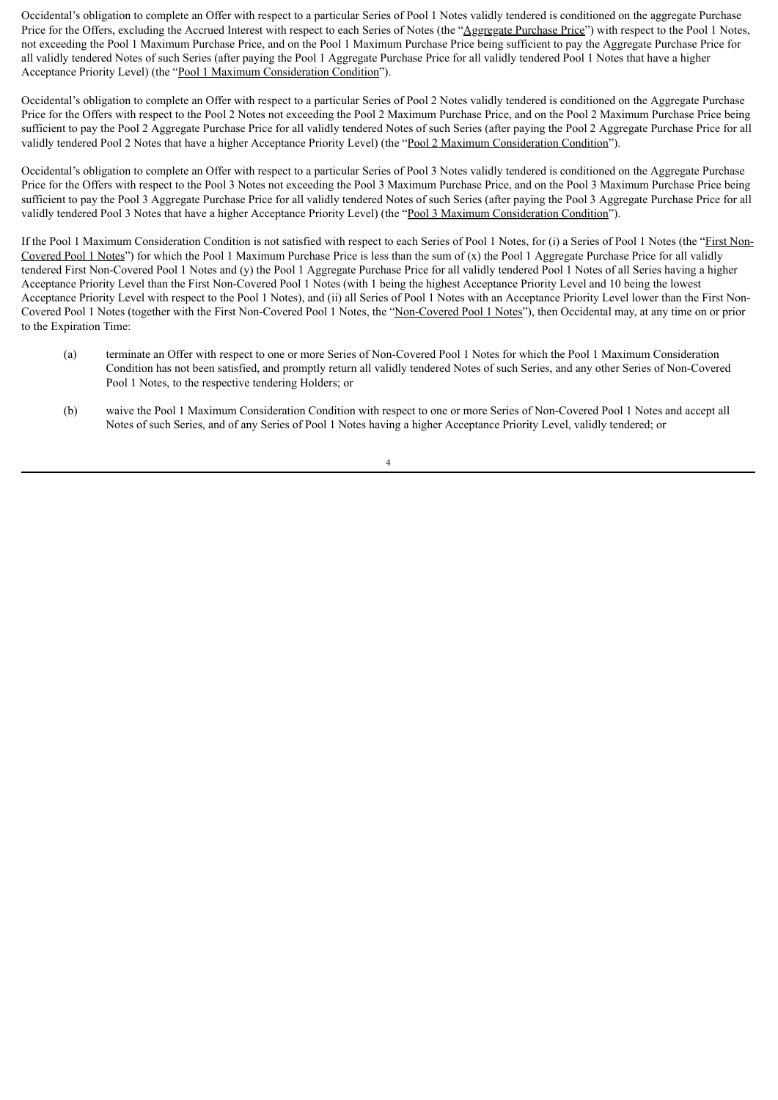Occidental's obligation to complete an Offer with respect to a particular Series of Pool 1 Notes validly tendered is conditioned on the aggregate Purchase Price for the Offers, excluding the Accrued Interest with respect to each Series of Notes (the "Aggregate Purchase Price") with respect to the Pool 1 Notes, not exceeding the Pool 1 Maximum Purchase Price, and on the Pool 1 Maximum Purchase Price being sufficient to pay the Aggregate Purchase Price for all validly tendered Notes of such Series (after paying the Pool 1 Aggregate Purchase Price for all validly tendered Pool 1 Notes that have a higher Acceptance Priority Level) (the "Pool 1 Maximum Consideration Condition").

Occidental's obligation to complete an Offer with respect to a particular Series of Pool 2 Notes validly tendered is conditioned on the Aggregate Purchase Price for the Offers with respect to the Pool 2 Notes not exceeding the Pool 2 Maximum Purchase Price, and on the Pool 2 Maximum Purchase Price being sufficient to pay the Pool 2 Aggregate Purchase Price for all validly tendered Notes of such Series (after paying the Pool 2 Aggregate Purchase Price for all validly tendered Pool 2 Notes that have a higher Acceptance Priority Level) (the "Pool 2 Maximum Consideration Condition").

Occidental's obligation to complete an Offer with respect to a particular Series of Pool 3 Notes validly tendered is conditioned on the Aggregate Purchase Price for the Offers with respect to the Pool 3 Notes not exceeding the Pool 3 Maximum Purchase Price, and on the Pool 3 Maximum Purchase Price being sufficient to pay the Pool 3 Aggregate Purchase Price for all validly tendered Notes of such Series (after paying the Pool 3 Aggregate Purchase Price for all validly tendered Pool 3 Notes that have a higher Acceptance Priority Level) (the "Pool 3 Maximum Consideration Condition").

If the Pool 1 Maximum Consideration Condition is not satisfied with respect to each Series of Pool 1 Notes, for (i) a Series of Pool 1 Notes (the "First Non-Covered Pool 1 Notes") for which the Pool 1 Maximum Purchase Price is less than the sum of  $(x)$  the Pool 1 Aggregate Purchase Price for all validly tendered First Non-Covered Pool 1 Notes and (y) the Pool 1 Aggregate Purchase Price for all validly tendered Pool 1 Notes of all Series having a higher Acceptance Priority Level than the First Non-Covered Pool 1 Notes (with 1 being the highest Acceptance Priority Level and 10 being the lowest Acceptance Priority Level with respect to the Pool 1 Notes), and (ii) all Series of Pool 1 Notes with an Acceptance Priority Level lower than the First Non-Covered Pool 1 Notes (together with the First Non-Covered Pool 1 Notes, the "Non-Covered Pool 1 Notes"), then Occidental may, at any time on or prior to the Expiration Time:

- (a) terminate an Offer with respect to one or more Series of Non-Covered Pool 1 Notes for which the Pool 1 Maximum Consideration Condition has not been satisfied, and promptly return all validly tendered Notes of such Series, and any other Series of Non-Covered Pool 1 Notes, to the respective tendering Holders; or
- (b) waive the Pool 1 Maximum Consideration Condition with respect to one or more Series of Non-Covered Pool 1 Notes and accept all Notes of such Series, and of any Series of Pool 1 Notes having a higher Acceptance Priority Level, validly tendered; or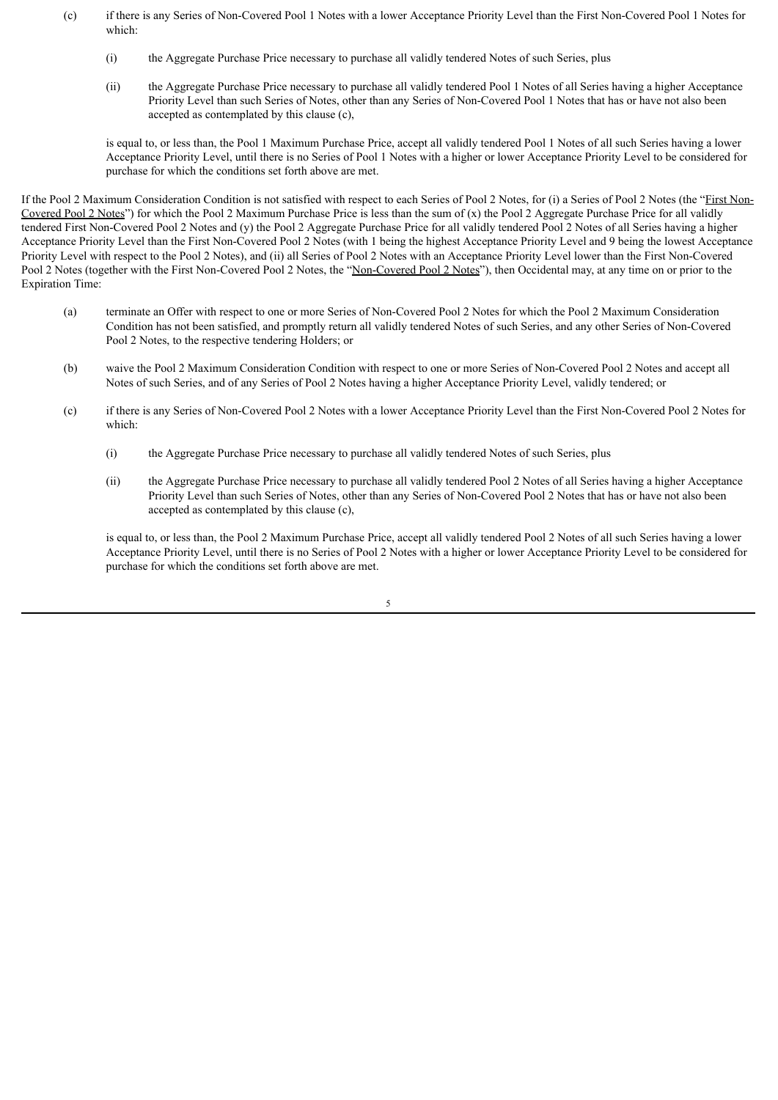- (c) if there is any Series of Non-Covered Pool 1 Notes with a lower Acceptance Priority Level than the First Non-Covered Pool 1 Notes for which:
	- (i) the Aggregate Purchase Price necessary to purchase all validly tendered Notes of such Series, plus
	- (ii) the Aggregate Purchase Price necessary to purchase all validly tendered Pool 1 Notes of all Series having a higher Acceptance Priority Level than such Series of Notes, other than any Series of Non-Covered Pool 1 Notes that has or have not also been accepted as contemplated by this clause (c),

is equal to, or less than, the Pool 1 Maximum Purchase Price, accept all validly tendered Pool 1 Notes of all such Series having a lower Acceptance Priority Level, until there is no Series of Pool 1 Notes with a higher or lower Acceptance Priority Level to be considered for purchase for which the conditions set forth above are met.

If the Pool 2 Maximum Consideration Condition is not satisfied with respect to each Series of Pool 2 Notes, for (i) a Series of Pool 2 Notes (the "First Non-Covered Pool 2 Notes") for which the Pool 2 Maximum Purchase Price is less than the sum of (x) the Pool 2 Aggregate Purchase Price for all validly tendered First Non-Covered Pool 2 Notes and (y) the Pool 2 Aggregate Purchase Price for all validly tendered Pool 2 Notes of all Series having a higher Acceptance Priority Level than the First Non-Covered Pool 2 Notes (with 1 being the highest Acceptance Priority Level and 9 being the lowest Acceptance Priority Level with respect to the Pool 2 Notes), and (ii) all Series of Pool 2 Notes with an Acceptance Priority Level lower than the First Non-Covered Pool 2 Notes (together with the First Non-Covered Pool 2 Notes, the "Non-Covered Pool 2 Notes"), then Occidental may, at any time on or prior to the Expiration Time:

- (a) terminate an Offer with respect to one or more Series of Non-Covered Pool 2 Notes for which the Pool 2 Maximum Consideration Condition has not been satisfied, and promptly return all validly tendered Notes of such Series, and any other Series of Non-Covered Pool 2 Notes, to the respective tendering Holders; or
- (b) waive the Pool 2 Maximum Consideration Condition with respect to one or more Series of Non-Covered Pool 2 Notes and accept all Notes of such Series, and of any Series of Pool 2 Notes having a higher Acceptance Priority Level, validly tendered; or
- (c) if there is any Series of Non-Covered Pool 2 Notes with a lower Acceptance Priority Level than the First Non-Covered Pool 2 Notes for which:
	- (i) the Aggregate Purchase Price necessary to purchase all validly tendered Notes of such Series, plus
	- (ii) the Aggregate Purchase Price necessary to purchase all validly tendered Pool 2 Notes of all Series having a higher Acceptance Priority Level than such Series of Notes, other than any Series of Non-Covered Pool 2 Notes that has or have not also been accepted as contemplated by this clause (c),

is equal to, or less than, the Pool 2 Maximum Purchase Price, accept all validly tendered Pool 2 Notes of all such Series having a lower Acceptance Priority Level, until there is no Series of Pool 2 Notes with a higher or lower Acceptance Priority Level to be considered for purchase for which the conditions set forth above are met.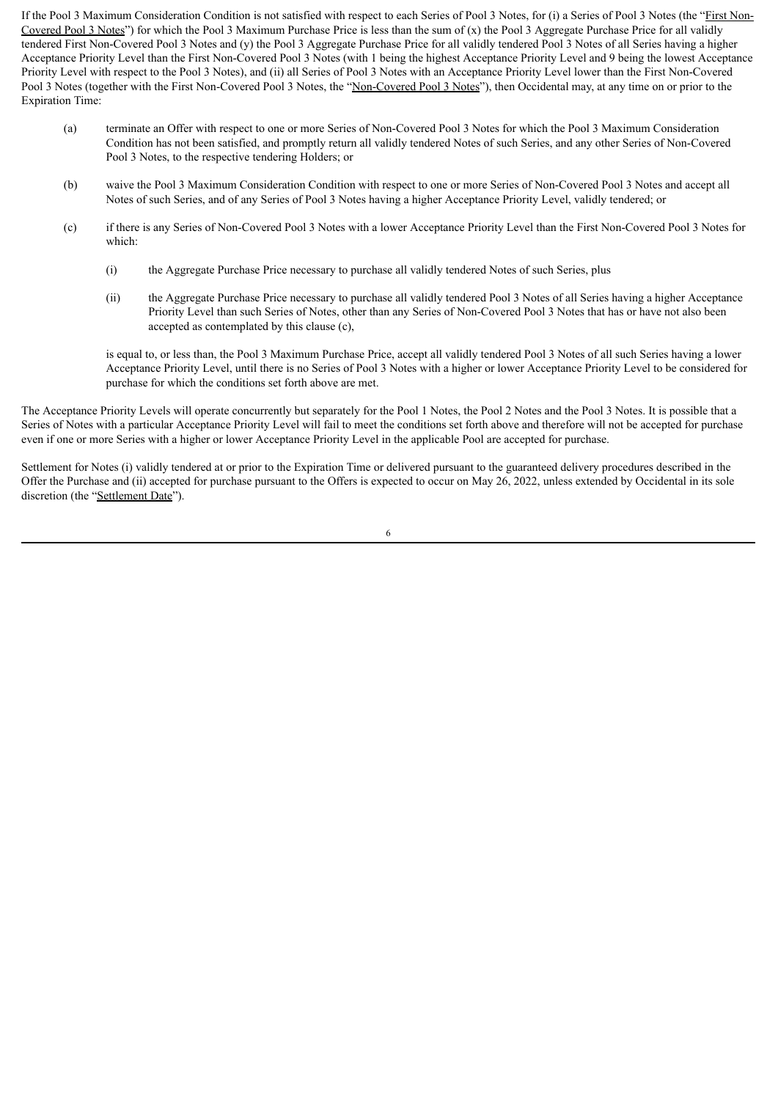If the Pool 3 Maximum Consideration Condition is not satisfied with respect to each Series of Pool 3 Notes, for (i) a Series of Pool 3 Notes (the "First Non-Covered Pool 3 Notes") for which the Pool 3 Maximum Purchase Price is less than the sum of  $(x)$  the Pool 3 Aggregate Purchase Price for all validly tendered First Non-Covered Pool 3 Notes and (y) the Pool 3 Aggregate Purchase Price for all validly tendered Pool 3 Notes of all Series having a higher Acceptance Priority Level than the First Non-Covered Pool 3 Notes (with 1 being the highest Acceptance Priority Level and 9 being the lowest Acceptance Priority Level with respect to the Pool 3 Notes), and (ii) all Series of Pool 3 Notes with an Acceptance Priority Level lower than the First Non-Covered Pool 3 Notes (together with the First Non-Covered Pool 3 Notes, the "Non-Covered Pool 3 Notes"), then Occidental may, at any time on or prior to the Expiration Time:

- (a) terminate an Offer with respect to one or more Series of Non-Covered Pool 3 Notes for which the Pool 3 Maximum Consideration Condition has not been satisfied, and promptly return all validly tendered Notes of such Series, and any other Series of Non-Covered Pool 3 Notes, to the respective tendering Holders; or
- (b) waive the Pool 3 Maximum Consideration Condition with respect to one or more Series of Non-Covered Pool 3 Notes and accept all Notes of such Series, and of any Series of Pool 3 Notes having a higher Acceptance Priority Level, validly tendered; or
- (c) if there is any Series of Non-Covered Pool 3 Notes with a lower Acceptance Priority Level than the First Non-Covered Pool 3 Notes for which:
	- (i) the Aggregate Purchase Price necessary to purchase all validly tendered Notes of such Series, plus
	- (ii) the Aggregate Purchase Price necessary to purchase all validly tendered Pool 3 Notes of all Series having a higher Acceptance Priority Level than such Series of Notes, other than any Series of Non-Covered Pool 3 Notes that has or have not also been accepted as contemplated by this clause (c),

is equal to, or less than, the Pool 3 Maximum Purchase Price, accept all validly tendered Pool 3 Notes of all such Series having a lower Acceptance Priority Level, until there is no Series of Pool 3 Notes with a higher or lower Acceptance Priority Level to be considered for purchase for which the conditions set forth above are met.

The Acceptance Priority Levels will operate concurrently but separately for the Pool 1 Notes, the Pool 2 Notes and the Pool 3 Notes. It is possible that a Series of Notes with a particular Acceptance Priority Level will fail to meet the conditions set forth above and therefore will not be accepted for purchase even if one or more Series with a higher or lower Acceptance Priority Level in the applicable Pool are accepted for purchase.

Settlement for Notes (i) validly tendered at or prior to the Expiration Time or delivered pursuant to the guaranteed delivery procedures described in the Offer the Purchase and (ii) accepted for purchase pursuant to the Offers is expected to occur on May 26, 2022, unless extended by Occidental in its sole discretion (the "Settlement Date").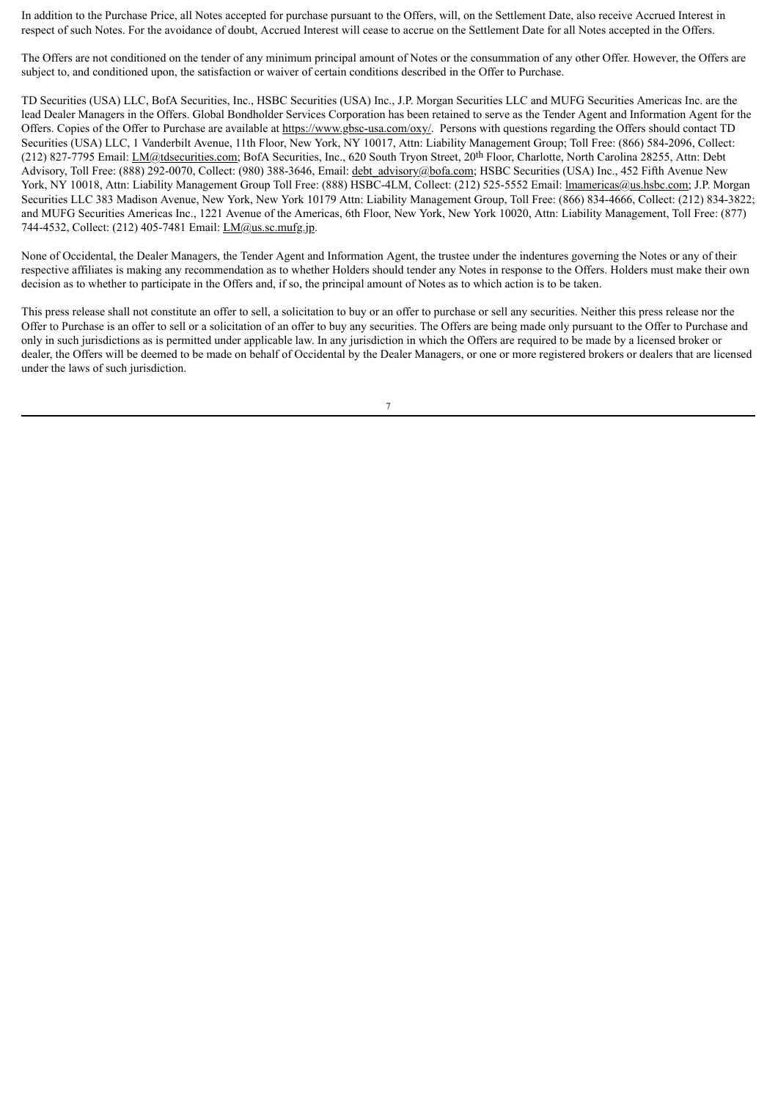In addition to the Purchase Price, all Notes accepted for purchase pursuant to the Offers, will, on the Settlement Date, also receive Accrued Interest in respect of such Notes. For the avoidance of doubt, Accrued Interest will cease to accrue on the Settlement Date for all Notes accepted in the Offers.

The Offers are not conditioned on the tender of any minimum principal amount of Notes or the consummation of any other Offer. However, the Offers are subject to, and conditioned upon, the satisfaction or waiver of certain conditions described in the Offer to Purchase.

TD Securities (USA) LLC, BofA Securities, Inc., HSBC Securities (USA) Inc., J.P. Morgan Securities LLC and MUFG Securities Americas Inc. are the lead Dealer Managers in the Offers. Global Bondholder Services Corporation has been retained to serve as the Tender Agent and Information Agent for the Offers. Copies of the Offer to Purchase are available at https://www.gbsc-usa.com/oxy/. Persons with questions regarding the Offers should contact TD Securities (USA) LLC, 1 Vanderbilt Avenue, 11th Floor, New York, NY 10017, Attn: Liability Management Group; Toll Free: (866) 584-2096, Collect: (212) 827-7795 Email: LM@tdsecurities.com; BofA Securities, Inc., 620 South Tryon Street, 20th Floor, Charlotte, North Carolina 28255, Attn: Debt Advisory, Toll Free: (888) 292-0070, Collect: (980) 388-3646, Email: debt advisory@bofa.com; HSBC Securities (USA) Inc., 452 Fifth Avenue New York, NY 10018, Attn: Liability Management Group Toll Free: (888) HSBC-4LM, Collect: (212) 525-5552 Email: *Imamericas@us.hsbc.com*; J.P. Morgan Securities LLC 383 Madison Avenue, New York, New York 10179 Attn: Liability Management Group, Toll Free: (866) 834-4666, Collect: (212) 834-3822; and MUFG Securities Americas Inc., 1221 Avenue of the Americas, 6th Floor, New York, New York 10020, Attn: Liability Management, Toll Free: (877) 744-4532, Collect: (212) 405-7481 Email: LM@us.sc.mufg.jp.

None of Occidental, the Dealer Managers, the Tender Agent and Information Agent, the trustee under the indentures governing the Notes or any of their respective affiliates is making any recommendation as to whether Holders should tender any Notes in response to the Offers. Holders must make their own decision as to whether to participate in the Offers and, if so, the principal amount of Notes as to which action is to be taken.

This press release shall not constitute an offer to sell, a solicitation to buy or an offer to purchase or sell any securities. Neither this press release nor the Offer to Purchase is an offer to sell or a solicitation of an offer to buy any securities. The Offers are being made only pursuant to the Offer to Purchase and only in such jurisdictions as is permitted under applicable law. In any jurisdiction in which the Offers are required to be made by a licensed broker or dealer, the Offers will be deemed to be made on behalf of Occidental by the Dealer Managers, or one or more registered brokers or dealers that are licensed under the laws of such jurisdiction.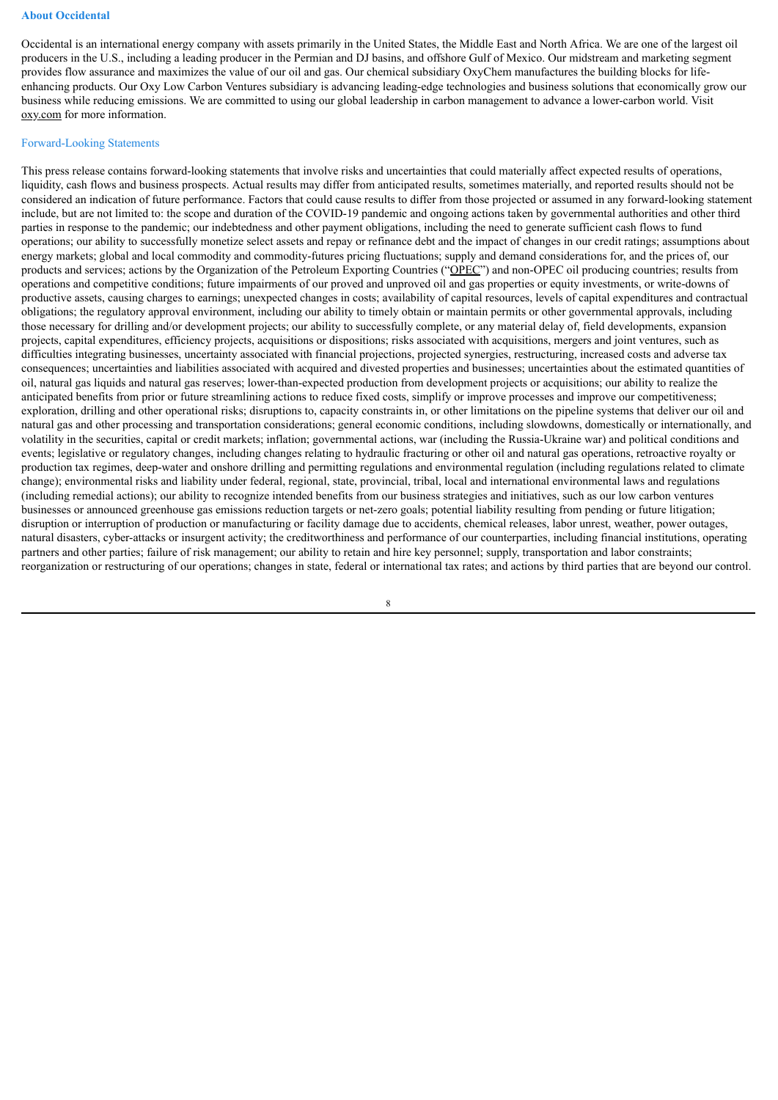#### **About Occidental**

Occidental is an international energy company with assets primarily in the United States, the Middle East and North Africa. We are one of the largest oil producers in the U.S., including a leading producer in the Permian and DJ basins, and offshore Gulf of Mexico. Our midstream and marketing segment provides flow assurance and maximizes the value of our oil and gas. Our chemical subsidiary OxyChem manufactures the building blocks for lifeenhancing products. Our Oxy Low Carbon Ventures subsidiary is advancing leading-edge technologies and business solutions that economically grow our business while reducing emissions. We are committed to using our global leadership in carbon management to advance a lower-carbon world. Visit oxy.com for more information.

#### Forward-Looking Statements

This press release contains forward-looking statements that involve risks and uncertainties that could materially affect expected results of operations, liquidity, cash flows and business prospects. Actual results may differ from anticipated results, sometimes materially, and reported results should not be considered an indication of future performance. Factors that could cause results to differ from those projected or assumed in any forward-looking statement include, but are not limited to: the scope and duration of the COVID-19 pandemic and ongoing actions taken by governmental authorities and other third parties in response to the pandemic; our indebtedness and other payment obligations, including the need to generate sufficient cash flows to fund operations; our ability to successfully monetize select assets and repay or refinance debt and the impact of changes in our credit ratings; assumptions about energy markets; global and local commodity and commodity-futures pricing fluctuations; supply and demand considerations for, and the prices of, our products and services; actions by the Organization of the Petroleum Exporting Countries ("OPEC") and non-OPEC oil producing countries; results from operations and competitive conditions; future impairments of our proved and unproved oil and gas properties or equity investments, or write-downs of productive assets, causing charges to earnings; unexpected changes in costs; availability of capital resources, levels of capital expenditures and contractual obligations; the regulatory approval environment, including our ability to timely obtain or maintain permits or other governmental approvals, including those necessary for drilling and/or development projects; our ability to successfully complete, or any material delay of, field developments, expansion projects, capital expenditures, efficiency projects, acquisitions or dispositions; risks associated with acquisitions, mergers and joint ventures, such as difficulties integrating businesses, uncertainty associated with financial projections, projected synergies, restructuring, increased costs and adverse tax consequences; uncertainties and liabilities associated with acquired and divested properties and businesses; uncertainties about the estimated quantities of oil, natural gas liquids and natural gas reserves; lower-than-expected production from development projects or acquisitions; our ability to realize the anticipated benefits from prior or future streamlining actions to reduce fixed costs, simplify or improve processes and improve our competitiveness; exploration, drilling and other operational risks; disruptions to, capacity constraints in, or other limitations on the pipeline systems that deliver our oil and natural gas and other processing and transportation considerations; general economic conditions, including slowdowns, domestically or internationally, and volatility in the securities, capital or credit markets; inflation; governmental actions, war (including the Russia-Ukraine war) and political conditions and events; legislative or regulatory changes, including changes relating to hydraulic fracturing or other oil and natural gas operations, retroactive royalty or production tax regimes, deep-water and onshore drilling and permitting regulations and environmental regulation (including regulations related to climate change); environmental risks and liability under federal, regional, state, provincial, tribal, local and international environmental laws and regulations (including remedial actions); our ability to recognize intended benefits from our business strategies and initiatives, such as our low carbon ventures businesses or announced greenhouse gas emissions reduction targets or net-zero goals; potential liability resulting from pending or future litigation; disruption or interruption of production or manufacturing or facility damage due to accidents, chemical releases, labor unrest, weather, power outages, natural disasters, cyber-attacks or insurgent activity; the creditworthiness and performance of our counterparties, including financial institutions, operating partners and other parties; failure of risk management; our ability to retain and hire key personnel; supply, transportation and labor constraints; reorganization or restructuring of our operations; changes in state, federal or international tax rates; and actions by third parties that are beyond our control.